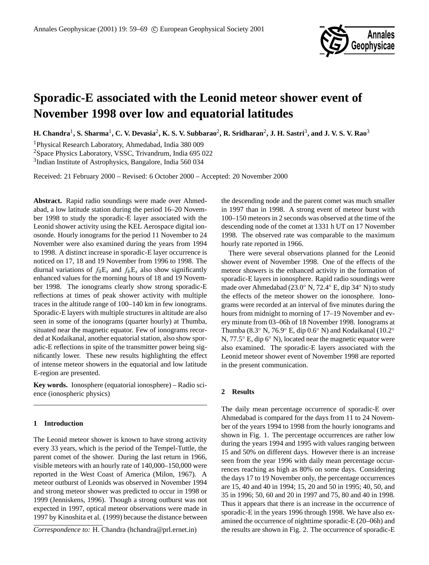

# **Sporadic-E associated with the Leonid meteor shower event of November 1998 over low and equatorial latitudes**

 $H$ . Chandra<sup>1</sup>, S. Sharma<sup>1</sup>, C. V. Devasia<sup>2</sup>, K. S. V. Subbarao<sup>2</sup>, R. Sridharan<sup>2</sup>, J. H. Sastri<sup>3</sup>, and J. V. S. V. Rao<sup>3</sup>

<sup>1</sup>Physical Research Laboratory, Ahmedabad, India 380 009 <sup>2</sup>Space Physics Laboratory, VSSC, Trivandrum, India 695 022 3 Indian Institute of Astrophysics, Bangalore, India 560 034

Received: 21 February 2000 – Revised: 6 October 2000 – Accepted: 20 November 2000

**Abstract.** Rapid radio soundings were made over Ahmedabad, a low latitude station during the period 16–20 November 1998 to study the sporadic-E layer associated with the Leonid shower activity using the KEL Aerospace digital ionosonde. Hourly ionograms for the period 11 November to 24 November were also examined during the years from 1994 to 1998. A distinct increase in sporadic-E layer occurrence is noticed on 17, 18 and 19 November from 1996 to 1998. The diurnal variations of  $f_0E_s$  and  $f_bE_s$  also show significantly enhanced values for the morning hours of 18 and 19 November 1998. The ionograms clearly show strong sporadic-E reflections at times of peak shower activity with multiple traces in the altitude range of 100–140 km in few ionograms. Sporadic-E layers with multiple structures in altitude are also seen in some of the ionograms (quarter hourly) at Thumba, situated near the magnetic equator. Few of ionograms recorded at Kodaikanal, another equatorial station, also show sporadic-E reflections in spite of the transmitter power being significantly lower. These new results highlighting the effect of intense meteor showers in the equatorial and low latitude E-region are presented.

**Key words.** Ionosphere (equatorial ionosphere) – Radio science (ionospheric physics)

## **1 Introduction**

The Leonid meteor shower is known to have strong activity every 33 years, which is the period of the Tempel-Tuttle, the parent comet of the shower. During the last return in 1966, visible meteors with an hourly rate of 140,000–150,000 were reported in the West Coast of America (Milon, 1967). A meteor outburst of Leonids was observed in November 1994 and strong meteor shower was predicted to occur in 1998 or 1999 (Jenniskens, 1996). Though a strong outburst was not expected in 1997, optical meteor observations were made in 1997 by Kinoshita et al. (1999) because the distance between

*Correspondence to:* H. Chandra (hchandra@prl.ernet.in)

the descending node and the parent comet was much smaller in 1997 than in 1998. A strong event of meteor burst with 100–150 meteors in 2 seconds was observed at the time of the descending node of the comet at 1331 h UT on 17 November 1998. The observed rate was comparable to the maximum hourly rate reported in 1966.

There were several observations planned for the Leonid shower event of November 1998. One of the effects of the meteor showers is the enhanced activity in the formation of sporadic-E layers in ionosphere. Rapid radio soundings were made over Ahmedabad (23.0◦ N, 72.4◦ E, dip 34◦ N) to study the effects of the meteor shower on the ionosphere. Ionograms were recorded at an interval of five minutes during the hours from midnight to morning of 17–19 November and every minute from 03–06h of 18 November 1998. Ionograms at Thumba (8.3◦ N, 76.9◦ E, dip 0.6◦ N) and Kodaikanal (10.2◦ N, 77.5◦ E, dip 6◦ N), located near the magnetic equator were also examined. The sporadic-E layers associated with the Leonid meteor shower event of November 1998 are reported in the present communication.

### **2 Results**

The daily mean percentage occurrence of sporadic-E over Ahmedabad is compared for the days from 11 to 24 November of the years 1994 to 1998 from the hourly ionograms and shown in Fig. 1. The percentage occurrences are rather low during the years 1994 and 1995 with values ranging between 15 and 50% on different days. However there is an increase seen from the year 1996 with daily mean percentage occurrences reaching as high as 80% on some days. Considering the days 17 to 19 November only, the percentage occurrences are 15, 40 and 40 in 1994; 15, 20 and 50 in 1995; 40, 50, and 35 in 1996; 50, 60 and 20 in 1997 and 75, 80 and 40 in 1998. Thus it appears that there is an increase in the occurrence of sporadic-E in the years 1996 through 1998. We have also examined the occurrence of nighttime sporadic-E (20–06h) and the results are shown in Fig. 2. The occurrence of sporadic-E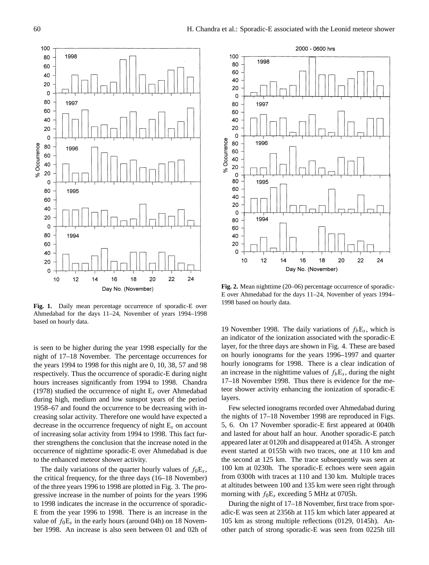

**Fig. 1.** Daily mean percentage occurrence of sporadic-E over Ahmedabad for the days 11–24, November of years 1994–1998 based on hourly data.

is seen to be higher during the year 1998 especially for the night of 17–18 November. The percentage occurrences for the years 1994 to 1998 for this night are 0, 10, 38, 57 and 98 respectively. Thus the occurrence of sporadic-E during night hours increases significantly from 1994 to 1998. Chandra (1978) studied the occurrence of night  $E_s$  over Ahmedabad during high, medium and low sunspot years of the period 1958–67 and found the occurrence to be decreasing with increasing solar activity. Therefore one would have expected a decrease in the occurrence frequency of night  $E_s$  on account of increasing solar activity from 1994 to 1998. This fact further strengthens the conclusion that the increase noted in the occurrence of nighttime sporadic-E over Ahmedabad is due to the enhanced meteor shower activity.

The daily variations of the quarter hourly values of  $f_0E_s$ , the critical frequency, for the three days (16–18 November) of the three years 1996 to 1998 are plotted in Fig. 3. The progressive increase in the number of points for the years 1996 to 1998 indicates the increase in the occurrence of sporadic-E from the year 1996 to 1998. There is an increase in the value of  $f_0E_s$  in the early hours (around 04h) on 18 November 1998. An increase is also seen between 01 and 02h of



**Fig. 2.** Mean nighttime (20–06) percentage occurrence of sporadic-E over Ahmedabad for the days 11–24, November of years 1994– 1998 based on hourly data.

19 November 1998. The daily variations of  $f_bE_s$ , which is an indicator of the ionization associated with the sporadic-E layer, for the three days are shown in Fig. 4. These are based on hourly ionograms for the years 1996–1997 and quarter hourly ionograms for 1998. There is a clear indication of an increase in the nighttime values of  $f_bE_s$ , during the night 17–18 November 1998. Thus there is evidence for the meteor shower activity enhancing the ionization of sporadic-E layers.

Few selected ionograms recorded over Ahmedabad during the nights of 17–18 November 1998 are reproduced in Figs. 5, 6. On 17 November sporadic-E first appeared at 0040h and lasted for about half an hour. Another sporadic-E patch appeared later at 0120h and disappeared at 0145h. A stronger event started at 0155h with two traces, one at 110 km and the second at 125 km. The trace subsequently was seen at 100 km at 0230h. The sporadic-E echoes were seen again from 0300h with traces at 110 and 130 km. Multiple traces at altitudes between 100 and 135 km were seen right through morning with  $f_0E_s$  exceeding 5 MHz at 0705h.

During the night of 17–18 November, first trace from sporadic-E was seen at 2356h at 115 km which later appeared at 105 km as strong multiple reflections (0129, 0145h). Another patch of strong sporadic-E was seen from 0225h till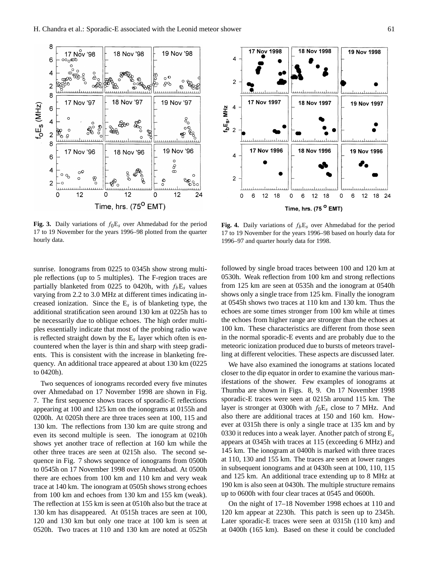

**Fig. 3.** Daily variations of  $f_0E_s$  over Ahmedabad for the period 17 to 19 November for the years 1996–98 plotted from the quarter hourly data.

sunrise. Ionograms from 0225 to 0345h show strong multiple reflections (up to 5 multiples). The F-region traces are partially blanketed from 0225 to 0420h, with  $f_bE_s$  values varying from 2.2 to 3.0 MHz at different times indicating increased ionization. Since the  $E_s$  is of blanketing type, the additional stratification seen around 130 km at 0225h has to be necessarily due to oblique echoes. The high order multiples essentially indicate that most of the probing radio wave is reflected straight down by the  $E_s$  layer which often is encountered when the layer is thin and sharp with steep gradients. This is consistent with the increase in blanketing frequency. An additional trace appeared at about 130 km (0225 to 0420h).

Two sequences of ionograms recorded every five minutes over Ahmedabad on 17 November 1998 are shown in Fig. 7. The first sequence shows traces of sporadic-E reflections appearing at 100 and 125 km on the ionograms at 0155h and 0200h. At 0205h there are three traces seen at 100, 115 and 130 km. The reflections from 130 km are quite strong and even its second multiple is seen. The ionogram at 0210h shows yet another trace of reflection at 160 km while the other three traces are seen at 0215h also. The second sequence in Fig. 7 shows sequence of ionograms from 0500h to 0545h on 17 November 1998 over Ahmedabad. At 0500h there are echoes from 100 km and 110 km and very weak trace at 140 km. The ionogram at 0505h shows strong echoes from 100 km and echoes from 130 km and 155 km (weak). The reflection at 155 km is seen at 0510h also but the trace at 130 km has disappeared. At 0515h traces are seen at 100, 120 and 130 km but only one trace at 100 km is seen at 0520h. Two traces at 110 and 130 km are noted at 0525h



Fig. 4. Daily variations of  $f_bE_s$  over Ahmedabad for the period 17 to 19 November for the years 1996–98 based on hourly data for 1996–97 and quarter hourly data for 1998.

followed by single broad traces between 100 and 120 km at 0530h. Weak reflection from 100 km and strong reflections from 125 km are seen at 0535h and the ionogram at 0540h shows only a single trace from 125 km. Finally the ionogram at 0545h shows two traces at 110 km and 130 km. Thus the echoes are some times stronger from 100 km while at times the echoes from higher range are stronger than the echoes at 100 km. These characteristics are different from those seen in the normal sporadic-E events and are probably due to the meteoric ionization produced due to bursts of meteors travelling at different velocities. These aspects are discussed later.

We have also examined the ionograms at stations located closer to the dip equator in order to examine the various manifestations of the shower. Few examples of ionograms at Thumba are shown in Figs. 8, 9. On 17 November 1998 sporadic-E traces were seen at 0215h around 115 km. The layer is stronger at 0300h with  $f_0E_s$  close to 7 MHz. And also there are additional traces at 150 and 160 km. However at 0315h there is only a single trace at 135 km and by 0330 it reduces into a weak layer. Another patch of strong  $E_s$ appears at 0345h with traces at 115 (exceeding 6 MHz) and 145 km. The ionogram at 0400h is marked with three traces at 110, 130 and 155 km. The traces are seen at lower ranges in subsequent ionograms and at 0430h seen at 100, 110, 115 and 125 km. An additional trace extending up to 8 MHz at 190 km is also seen at 0430h. The multiple structure remains up to 0600h with four clear traces at 0545 and 0600h.

On the night of 17–18 November 1998 echoes at 110 and 120 km appear at 2230h. This patch is seen up to 2345h. Later sporadic-E traces were seen at 0315h (110 km) and at 0400h (165 km). Based on these it could be concluded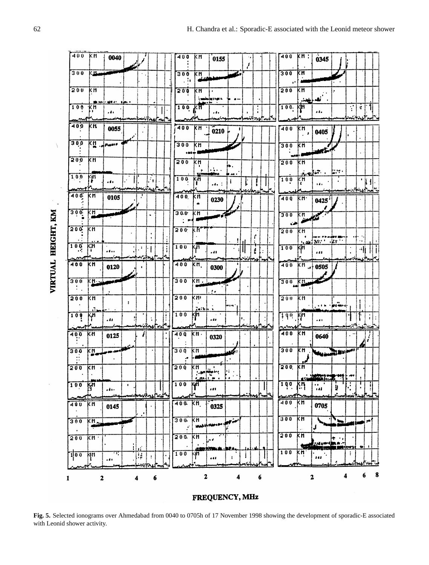700° Τm 400 400 KM : 0040 Km  $\overline{0155}$ 0345 f  $300$ КIJ  $300$  $300$ KĦ Κm 200 **200**  $\overline{K}$ <sub> $\overline{M}$ </sub>  $200$ ΚĦ ٢M  $100$ Κm  $100$  $100.$ Ý ÷ ÷  $\overline{11}$ ò, Ϊï  $400$ 0055  $400$  $\overline{K}$ M **400**  $\overline{\mathsf{K}}$ m 0210 0405  $300$ KÜ  $300$ أأدوعنا Κñ  $300$ κñ  $200$ Κï 500  $200$ ππ Ķñ  $\frac{1}{\binom{2}{1}}$ 19  $100$ FΜ  $\epsilon_{\rm i}$  $100$ kn 100 ÿ, ...  $\mathbf{i}$ ţ  $\mathsf{r}$  $\mathbf{I}$  $\ddotsc$  $\overline{11}$  $400$  $\frac{1}{400}$ Ķπ κm 0105 400 KM 0230 0425  $\bullet$  $300$ ĶΜ  $300$ κπ 300 Κn £ فرند  $200$ π  $200$ ŦИ  $200$ KM  $\ddot{\phantom{0}}$ ŕ  $\ddot{\phantom{a}}$ ۱ż۱. kit<br>I  $33.7$  $100$ 700° Ķπ  $\overline{100}$ ĶМ  $\mathbf{I}$  $\ddot{\phantom{1}}$ ÷ ۰li | ||  $\mathbf{\mathcal{L}}$  $\overline{\mathbf{a}}$ d. İ ... 188  $700$ ΚW  $400$ Κm.  $400$ κπ 0120 0505 0300 kn. <u>,300</u>  $300$ Km. 300 KH  $200$ Km  $200$  $\overline{\mathsf{K}}$ m  $200$ ΚM  $\ddot{\phantom{a}}$  $\mathbf{r}$  is  $\overline{109}$  $100$ ĶĪï  $14$ d Ķіл  $\mathbb{T}$ f Ķм  $\mathbf i$ T  $\overline{1}$  $\ddot{\cdot}$  $\ddotsc$  $\ddotsc$ "KN  $700$ 400  $\overline{\mathsf{K}}$ m  $400$ ΚM 0125 J 0640 0320 300 KM. 300 κπ  $300$  $\overline{\mathsf{K}}$ m  $200$ 200 Κñ 500 ζĦ KM بسبا  $\mathbf{L}$ <u>uit</u> ।<br>पुर  $700$ ŸΜ  $100$  $700$ Κŋ  $\mathbf{u}$  $\overline{\phantom{a}}$ Ù  $\mathbf{I}$  $\ddot{\bm{u}}$  $\overline{a}$  $400$  $700$ Ϊ. Τκπ, **A00** πï 0325 0705 0145 300 K٣ 300 Ķπ  $300$ ζĤ  $700$  $\overline{\mathsf{kn}}$  $7200$ ΚM 200 KĦ k P.  $100$ ķη  $100$ ণ ្បក់ Ñu ļ₩ 4  $\cdot$  $\ddot{\phantom{a}}$  $\ddot{\phantom{a}}$  $6\phantom{1}$  $\bf{8}$  $\overline{\mathbf{2}}$  $\ddot{\bf{4}}$  $\ddot{\phantom{a}}$  $\boldsymbol{6}$  $\overline{\mathbf{2}}$  $\overline{\mathbf{2}}$ 6  $\mathbf{1}$  $\overline{\mathbf{4}}$ 

## FREQUENCY, MHz

**Fig. 5.** Selected ionograms over Ahmedabad from 0040 to 0705h of 17 November 1998 showing the development of sporadic-E associated with Leonid shower activity.

VIRTUAL HEIGHT, KM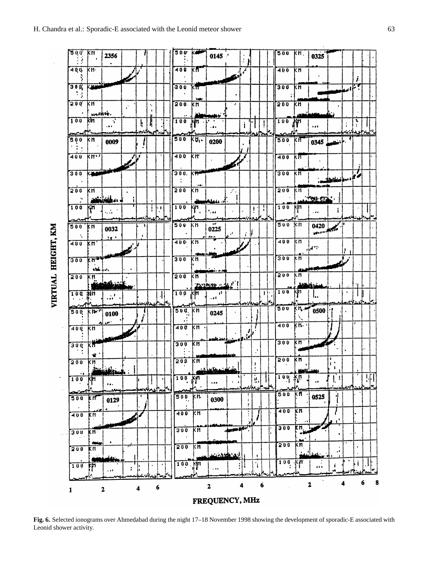

**Fig. 6.** Selected ionograms over Ahmedabad during the night 17–18 November 1998 showing the development of sporadic-E associated with Leonid shower activity.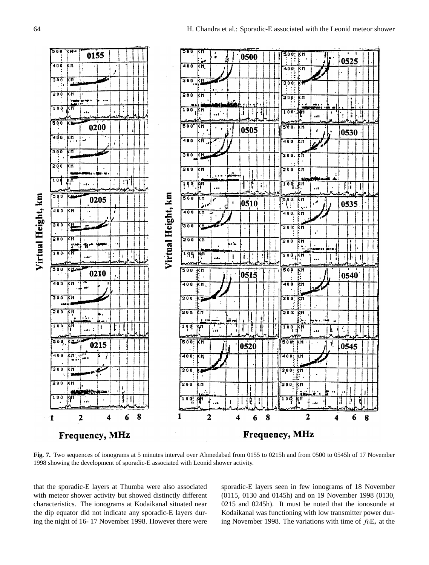

**Fig. 7.** Two sequences of ionograms at 5 minutes interval over Ahmedabad from 0155 to 0215h and from 0500 to 0545h of 17 November 1998 showing the development of sporadic-E associated with Leonid shower activity.

that the sporadic-E layers at Thumba were also associated with meteor shower activity but showed distinctly different characteristics. The ionograms at Kodaikanal situated near the dip equator did not indicate any sporadic-E layers during the night of 16- 17 November 1998. However there were sporadic-E layers seen in few ionograms of 18 November (0115, 0130 and 0145h) and on 19 November 1998 (0130, 0215 and 0245h). It must be noted that the ionosonde at Kodaikanal was functioning with low transmitter power during November 1998. The variations with time of  $f_0E_s$  at the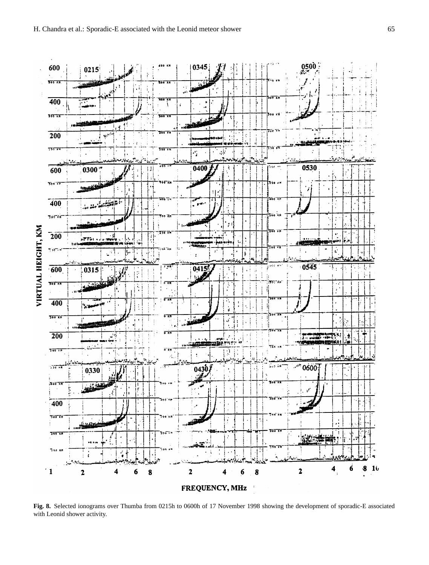

**Fig. 8.** Selected ionograms over Thumba from 0215h to 0600h of 17 November 1998 showing the development of sporadic-E associated with Leonid shower activity.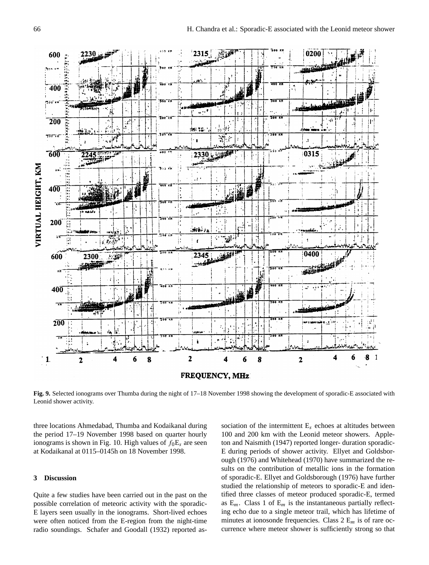

**Fig. 9.** Selected ionograms over Thumba during the night of 17–18 November 1998 showing the development of sporadic-E associated with Leonid shower activity.

three locations Ahmedabad, Thumba and Kodaikanal during the period 17–19 November 1998 based on quarter hourly ionograms is shown in Fig. 10. High values of  $f_0E_s$  are seen at Kodaikanal at 0115–0145h on 18 November 1998.

## **3 Discussion**

Quite a few studies have been carried out in the past on the possible correlation of meteoric activity with the sporadic-E layers seen usually in the ionograms. Short-lived echoes were often noticed from the E-region from the night-time radio soundings. Schafer and Goodall (1932) reported association of the intermittent  $E_s$  echoes at altitudes between 100 and 200 km with the Leonid meteor showers. Appleton and Naismith (1947) reported longer- duration sporadic-E during periods of shower activity. Ellyet and Goldsborough (1976) and Whitehead (1970) have summarized the results on the contribution of metallic ions in the formation of sporadic-E. Ellyet and Goldsborough (1976) have further studied the relationship of meteors to sporadic-E and identified three classes of meteor produced sporadic-E, termed as  $E_m$ . Class 1 of  $E_m$  is the instantaneous partially reflecting echo due to a single meteor trail, which has lifetime of minutes at ionosonde frequencies. Class  $2 E_m$  is of rare occurrence where meteor shower is sufficiently strong so that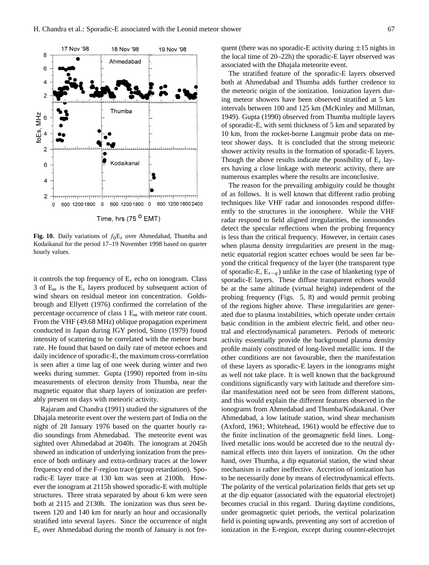

**Fig. 10.** Daily variations of  $f_0E_s$  over Ahmedabad, Thumba and Kodaikanal for the period 17–19 November 1998 based on quarter hourly values.

it controls the top frequency of  $E_s$  echo on ionogram. Class 3 of  $E_m$  is the  $E_s$  layers produced by subsequent action of wind shears on residual meteor ion concentration. Goldsbrough and Ellyett (1976) confirmed the correlation of the percentage occurrence of class  $1 \text{ E}_m$  with meteor rate count. From the VHF (49.68 MHz) oblique propagation experiment conducted in Japan during IGY period, Sinno (1979) found intensity of scattering to be correlated with the meteor burst rate. He found that based on daily rate of meteor echoes and daily incidence of sporadic-E, the maximum cross-correlation is seen after a time lag of one week during winter and two weeks during summer. Gupta (1990) reported from in-situ measurements of electron density from Thumba, near the magnetic equator that sharp layers of ionization are preferably present on days with meteoric activity.

Rajaram and Chandra (1991) studied the signatures of the Dhajala meteorite event over the western part of India on the night of 28 January 1976 based on the quarter hourly radio soundings from Ahmedabad. The meteorite event was sighted over Ahmedabad at 2040h. The ionogram at 2045h showed an indication of underlying ionization from the presence of both ordinary and extra-ordinary traces at the lower frequency end of the F-region trace (group retardation). Sporadic-E layer trace at 130 km was seen at 2100h. However the ionogram at 2115h showed sporadic-E with multiple structures. Three strata separated by about 6 km were seen both at 2115 and 2130h. The ionization was thus seen between 120 and 140 km for nearly an hour and occasionally stratified into several layers. Since the occurrence of night  $E<sub>s</sub>$  over Ahmedabad during the month of January is not frequent (there was no sporadic-E activity during  $\pm 15$  nights in the local time of 20–22h) the sporadic-E layer observed was associated with the Dhajala meteorite event.

The stratified feature of the sporadic-E layers observed both at Ahmedabad and Thumba adds further credence to the meteoric origin of the ionization. Ionization layers during meteor showers have been observed stratified at 5 km intervals between 100 and 125 km (McKinley and Millman, 1949). Gupta (1990) observed from Thumba multiple layers of sporadic-E, with semi thickness of 5 km and separated by 10 km, from the rocket-borne Langmuir probe data on meteor shower days. It is concluded that the strong meteoric shower activity results in the formation of sporadic-E layers. Though the above results indicate the possibility of  $E_s$  layers having a close linkage with meteoric activity, there are numerous examples where the results are inconclusive.

The reason for the prevailing ambiguity could be thought of as follows. It is well known that different radio probing techniques like VHF radar and ionosondes respond differently to the structures in the ionosphere. While the VHF radar respond to field aligned irregularities, the ionosondes detect the specular reflections when the probing frequency is less than the critical frequency. However, in certain cases when plasma density irregularities are present in the magnetic equatorial region scatter echoes would be seen far beyond the critical frequency of the layer (the transparent type of sporadic-E,  $E_{s-q}$ ) unlike in the case of blanketing type of sporadic-E layers. These diffuse transparent echoes would be at the same altitude (virtual height) independent of the probing frequency (Figs. 5, 8) and would permit probing of the regions higher above. These irregularities are generated due to plasma instabilities, which operate under certain basic condition in the ambient electric field, and other neutral and electrodynamical parameters. Periods of meteoric activity essentially provide the background plasma density profile mainly constituted of long-lived metallic ions. If the other conditions are not favourable, then the manifestation of these layers as sporadic-E layers in the ionograms might as well not take place. It is well known that the background conditions significantly vary with latitude and therefore similar manifestation need not be seen from different stations, and this would explain the different features observed in the ionograms from Ahmedabad and Thumba/Kodaikanal. Over Ahmedabad, a low latitude station, wind shear mechanism (Axford, 1961; Whitehead, 1961) would be effective due to the finite inclination of the geomagnetic field lines. Longlived metallic ions would be accreted due to the neutral dynamical effects into thin layers of ionization. On the other hand, over Thumba, a dip equatorial station, the wind shear mechanism is rather ineffective. Accretion of ionization has to be necessarily done by means of electrodynamical effects. The polarity of the vertical polarization fields that gets set up at the dip equator (associated with the equatorial electrojet) becomes crucial in this regard. During daytime conditions, under geomagnetic quiet periods, the vertical polarization field is pointing upwards, preventing any sort of accretion of ionization in the E-region, except during counter-electrojet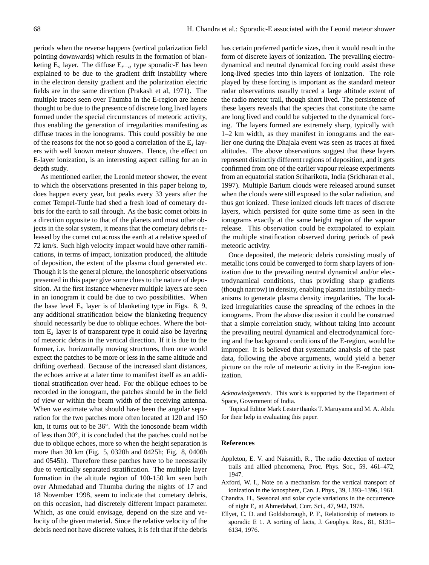periods when the reverse happens (vertical polarization field pointing downwards) which results in the formation of blanketing  $E_s$  layer. The diffuse  $E_{s-q}$  type sporadic-E has been explained to be due to the gradient drift instability where in the electron density gradient and the polarization electric fields are in the same direction (Prakash et al, 1971). The multiple traces seen over Thumba in the E-region are hence thought to be due to the presence of discrete long lived layers formed under the special circumstances of meteoric activity, thus enabling the generation of irregularities manifesting as diffuse traces in the ionograms. This could possibly be one of the reasons for the not so good a correlation of the  $E_s$  layers with well known meteor showers. Hence, the effect on E-layer ionization, is an interesting aspect calling for an in depth study.

As mentioned earlier, the Leonid meteor shower, the event to which the observations presented in this paper belong to, does happen every year, but peaks every 33 years after the comet Tempel-Tuttle had shed a fresh load of cometary debris for the earth to sail through. As the basic comet orbits in a direction opposite to that of the planets and most other objects in the solar system, it means that the cometary debris released by the comet cut across the earth at a relative speed of 72 km/s. Such high velocity impact would have other ramifications, in terms of impact, ionization produced, the altitude of deposition, the extent of the plasma cloud generated etc. Though it is the general picture, the ionospheric observations presented in this paper give some clues to the nature of deposition. At the first instance whenever multiple layers are seen in an ionogram it could be due to two possibilities. When the base level  $E_s$  layer is of blanketing type in Figs. 8, 9, any additional stratification below the blanketing frequency should necessarily be due to oblique echoes. Where the bot- $\tan E_s$  layer is of transparent type it could also be layering of meteoric debris in the vertical direction. If it is due to the former, i.e. horizontally moving structures, then one would expect the patches to be more or less in the same altitude and drifting overhead. Because of the increased slant distances, the echoes arrive at a later time to manifest itself as an additional stratification over head. For the oblique echoes to be recorded in the ionogram, the patches should be in the field of view or within the beam width of the receiving antenna. When we estimate what should have been the angular separation for the two patches more often located at 120 and 150 km, it turns out to be 36°. With the ionosonde beam width of less than 30◦ , it is concluded that the patches could not be due to oblique echoes, more so when the height separation is more than 30 km (Fig. 5, 0320h and 0425h; Fig. 8, 0400h and 0545h). Therefore these patches have to be necessarily due to vertically separated stratification. The multiple layer formation in the altitude region of 100-150 km seen both over Ahmedabad and Thumba during the nights of 17 and 18 November 1998, seem to indicate that cometary debris, on this occasion, had discretely different impact parameter. Which, as one could envisage, depend on the size and velocity of the given material. Since the relative velocity of the debris need not have discrete values, it is felt that if the debris has certain preferred particle sizes, then it would result in the form of discrete layers of ionization. The prevailing electrodynamical and neutral dynamical forcing could assist these long-lived species into thin layers of ionization. The role played by these forcing is important as the standard meteor radar observations usually traced a large altitude extent of the radio meteor trail, though short lived. The persistence of these layers reveals that the species that constitute the same are long lived and could be subjected to the dynamical forcing. The layers formed are extremely sharp, typically with 1–2 km width, as they manifest in ionograms and the earlier one during the Dhajala event was seen as traces at fixed altitudes. The above observations suggest that these layers represent distinctly different regions of deposition, and it gets confirmed from one of the earlier vapour release experiments from an equatorial station Sriharikota, India (Sridharan et al., 1997). Multiple Barium clouds were released around sunset when the clouds were still exposed to the solar radiation, and thus got ionized. These ionized clouds left traces of discrete layers, which persisted for quite some time as seen in the ionograms exactly at the same height region of the vapour release. This observation could be extrapolated to explain the multiple stratification observed during periods of peak meteoric activity.

Once deposited, the meteoric debris consisting mostly of metallic ions could be converged to form sharp layers of ionization due to the prevailing neutral dynamical and/or electrodynamical conditions, thus providing sharp gradients (though narrow) in density, enabling plasma instability mechanisms to generate plasma density irregularities. The localized irregularities cause the spreading of the echoes in the ionograms. From the above discussion it could be construed that a simple correlation study, without taking into account the prevailing neutral dynamical and electrodynamical forcing and the background conditions of the E-region, would be improper. It is believed that systematic analysis of the past data, following the above arguments, would yield a better picture on the role of meteoric activity in the E-region ionization.

*Acknowledgements.* This work is supported by the Department of Space, Government of India.

Topical Editor Mark Lester thanks T. Maruyama and M. A. Abdu for their help in evaluating this paper.

#### **References**

- Appleton, E. V. and Naismith, R., The radio detection of meteor trails and allied phenomena, Proc. Phys. Soc., 59, 461–472, 1947.
- Axford, W. I., Note on a mechanism for the vertical transport of ionization in the ionosphere, Can. J. Phys., 39, 1393–1396, 1961.
- Chandra, H., Seasonal and solar cycle variations in the occurrence of night Es at Ahmedabad, Curr. Sci., 47, 942, 1978.
- Ellyet, C. D. and Goldsborough, P. F., Relationship of meteors to sporadic E 1. A sorting of facts, J. Geophys. Res., 81, 6131– 6134, 1976.